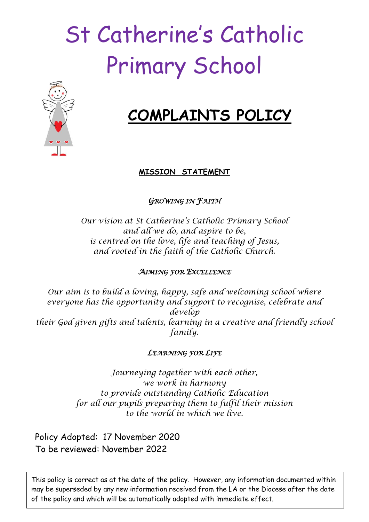# St Catherine's Catholic Primary School



## **COMPLAINTS POLICY**

#### **MISSION STATEMENT**

### *GROWING IN FAITH*

*Our vision at St Catherine's Catholic Primary School and all we do, and aspire to be, is centred on the love, life and teaching of Jesus, and rooted in the faith of the Catholic Church.*

#### *AIMING FOR EXCELLENCE*

*Our aim is to build a loving, happy, safe and welcoming school where everyone has the opportunity and support to recognise, celebrate and develop their God given gifts and talents, learning in a creative and friendly school family.*

#### *LEARNING FOR LIFE*

*Journeying together with each other, we work in harmony to provide outstanding Catholic Education for all our pupils preparing them to fulfil their mission to the world in which we live.*

Policy Adopted: 17 November 2020 To be reviewed: November 2022

This policy is correct as at the date of the policy. However, any information documented within may be superseded by any new information received from the LA or the Diocese after the date of the policy and which will be automatically adopted with immediate effect.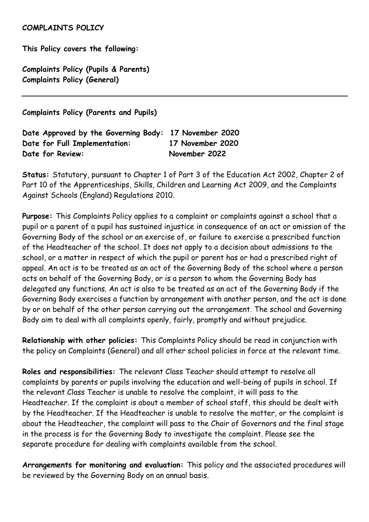#### **COMPLAINTS POLICY**

**This Policy covers the following:**

**Complaints Policy (Pupils & Parents) Complaints Policy (General)**

**Complaints Policy (Parents and Pupils)** 

| Date Approved by the Governing Body: 17 November 2020 |                  |
|-------------------------------------------------------|------------------|
| Date for Full Implementation:                         | 17 November 2020 |
| Date for Review:                                      | November 2022    |

**Status:** Statutory, pursuant to Chapter 1 of Part 3 of the Education Act 2002, Chapter 2 of Part 10 of the Apprenticeships, Skills, Children and Learning Act 2009, and the Complaints Against Schools (England) Regulations 2010.

**Purpose:** This Complaints Policy applies to a complaint or complaints against a school that a pupil or a parent of a pupil has sustained injustice in consequence of an act or omission of the Governing Body of the school or an exercise of, or failure to exercise a prescribed function of the Headteacher of the school. It does not apply to a decision about admissions to the school, or a matter in respect of which the pupil or parent has or had a prescribed right of appeal. An act is to be treated as an act of the Governing Body of the school where a person acts on behalf of the Governing Body, or is a person to whom the Governing Body has delegated any functions. An act is also to be treated as an act of the Governing Body if the Governing Body exercises a function by arrangement with another person, and the act is done by or on behalf of the other person carrying out the arrangement. The school and Governing Body aim to deal with all complaints openly, fairly, promptly and without prejudice.

**Relationship with other policies:** This Complaints Policy should be read in conjunction with the policy on Complaints (General) and all other school policies in force at the relevant time.

**Roles and responsibilities:** The relevant Class Teacher should attempt to resolve all complaints by parents or pupils involving the education and well-being of pupils in school. If the relevant Class Teacher is unable to resolve the complaint, it will pass to the Headteacher. If the complaint is about a member of school staff, this should be dealt with by the Headteacher. If the Headteacher is unable to resolve the matter, or the complaint is about the Headteacher, the complaint will pass to the Chair of Governors and the final stage in the process is for the Governing Body to investigate the complaint. Please see the separate procedure for dealing with complaints available from the school.

**Arrangements for monitoring and evaluation:** This policy and the associated procedures will be reviewed by the Governing Body on an annual basis.